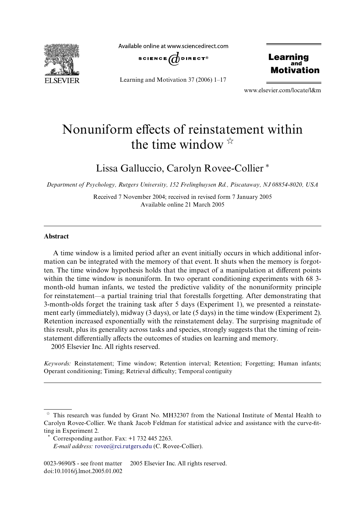

Available online at www.sciencedirect.com



Learning and Motivation 37 (2006) 1–17

**Learning** and Motivation

www.elsevier.com/locate/l&m

# Nonuniform effects of reinstatement within the time window  $\mathbb{R}$

Lissa Galluccio, Carolyn Rovee-Collier \*

*Department of Psychology, Rutgers University, 152 Frelinghuysen Rd., Piscataway, NJ 08854-8020, USA*

Received 7 November 2004; received in revised form 7 January 2005 Available online 21 March 2005

#### **Abstract**

A time window is a limited period after an event initially occurs in which additional information can be integrated with the memory of that event. It shuts when the memory is forgotten. The time window hypothesis holds that the impact of a manipulation at different points within the time window is nonuniform. In two operant conditioning experiments with 68 3month-old human infants, we tested the predictive validity of the nonuniformity principle for reinstatement—a partial training trial that forestalls forgetting. After demonstrating that 3-month-olds forget the training task after 5 days (Experiment 1), we presented a reinstatement early (immediately), midway (3 days), or late (5 days) in the time window (Experiment 2). Retention increased exponentially with the reinstatement delay. The surprising magnitude of this result, plus its generality across tasks and species, strongly suggests that the timing of reinstatement differentially affects the outcomes of studies on learning and memory. 2005 Elsevier Inc. All rights reserved.

*Keywords:* Reinstatement; Time window; Retention interval; Retention; Forgetting; Human infants; Operant conditioning; Timing; Retrieval difficulty; Temporal contiguity

 $*$  This research was funded by Grant No. MH32307 from the National Institute of Mental Health to Carolyn Rovee-Collier. We thank Jacob Feldman for statistical advice and assistance with the curve-fitting in Experiment 2.

Corresponding author. Fax: +1 732 445 2263.

*E-mail address:* [rovee@rci.rutgers.edu](mailto: rovee@rci.rutgers.edu) (C. Rovee-Collier).

<sup>0023-9690/\$ -</sup> see front matter © 2005 Elsevier Inc. All rights reserved. doi:10.1016/j.lmot.2005.01.002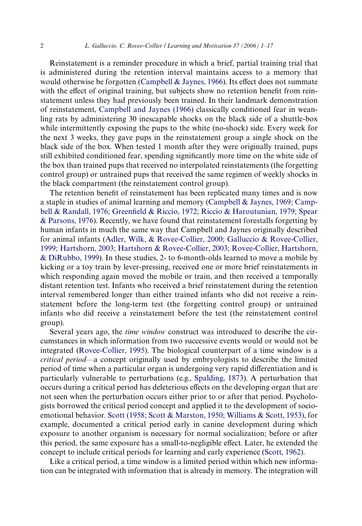Reinstatement is a reminder procedure in which a brief, partial training trial that is administered during the retention interval maintains access to a memory that would otherwise be forgotten (Campbell  $&$  Jaynes, 1966). Its effect does not summate with the effect of original training, but subjects show no retention benefit from reinstatement unless they had previously been trained. In their landmark demonstration of reinstatement, [Campbell and Jaynes \(1966\)](#page-14-0) classically conditioned fear in weanling rats by administering 30 inescapable shocks on the black side of a shuttle-box while intermittently exposing the pups to the white (no-shock) side. Every week for the next 3 weeks, they gave pups in the reinstatement group a single shock on the black side of the box. When tested 1 month after they were originally trained, pups still exhibited conditioned fear, spending significantly more time on the white side of the box than trained pups that received no interpolated reinstatements (the forgetting control group) or untrained pups that received the same regimen of weekly shocks in the black compartment (the reinstatement control group).

The retention benefit of reinstatement has been replicated many times and is now a staple in studies of animal learning and memory ([Campbell & Jaynes, 1969; Camp](#page-14-1)[bell & Randall, 1976; Green](#page-14-1)fi[eld & Riccio, 1972; Riccio & Haroutunian, 1979; Spear](#page-14-1) [& Parsons, 1976\)](#page-14-1). Recently, we have found that reinstatement forestalls forgetting by human infants in much the same way that Campbell and Jaynes originally described for animal infants [\(Adler, Wilk, & Rovee-Collier, 2000; Galluccio & Rovee-Collier,](#page-14-2) [1999; Hartshorn, 2003; Hartshorn & Rovee-Collier, 2003; Rovee-Collier, Hartshorn,](#page-14-2) [& DiRubbo, 1999](#page-14-2)). In these studies, 2- to 6-month-olds learned to move a mobile by kicking or a toy train by lever-pressing, received one or more brief reinstatements in which responding again moved the mobile or train, and then received a temporally distant retention test. Infants who received a brief reinstatement during the retention interval remembered longer than either trained infants who did not receive a reinstatement before the long-term test (the forgetting control group) or untrained infants who did receive a reinstatement before the test (the reinstatement control group).

Several years ago, the *time window* construct was introduced to describe the circumstances in which information from two successive events would or would not be integrated [\(Rovee-Collier, 1995](#page-15-0)). The biological counterpart of a time window is a *critical period*—a concept originally used by embryologists to describe the limited period of time when a particular organ is undergoing very rapid differentiation and is particularly vulnerable to perturbations (e.g., [Spalding, 1873\)](#page-15-1). A perturbation that occurs during a critical period has deleterious effects on the developing organ that are not seen when the perturbation occurs either prior to or after that period. Psychologists borrowed the critical period concept and applied it to the development of socioemotional behavior. [Scott \(1958; Scott & Marston, 1950; Williams & Scott, 1953\),](#page-15-2) for example, documented a critical period early in canine development during which exposure to another organism is necessary for normal socialization; before or after this period, the same exposure has a small-to-negligible effect. Later, he extended the concept to include critical periods for learning and early experience [\(Scott, 1962](#page-15-3)).

Like a critical period, a time window is a limited period within which new information can be integrated with information that is already in memory. The integration will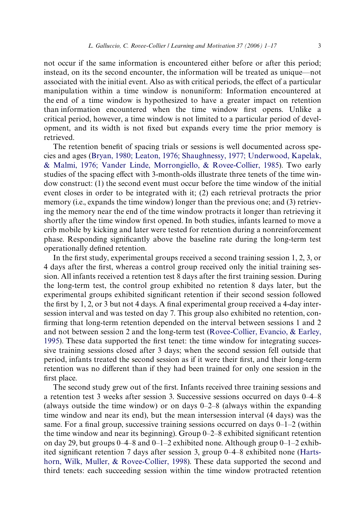not occur if the same information is encountered either before or after this period; instead, on its the second encounter, the information will be treated as unique—not associated with the initial event. Also as with critical periods, the effect of a particular manipulation within a time window is nonuniform: Information encountered at the end of a time window is hypothesized to have a greater impact on retention than information encountered when the time window first opens. Unlike a critical period, however, a time window is not limited to a particular period of development, and its width is not Wxed but expands every time the prior memory is retrieved.

The retention benefit of spacing trials or sessions is well documented across species and ages [\(Bryan, 1980; Leaton, 1976; Shaughnessy, 1977; Underwood, Kapelak,](#page-14-3) [& Malmi, 1976; Vander Linde, Morrongiello, & Rovee-Collier, 1985\)](#page-14-3). Two early studies of the spacing effect with 3-month-olds illustrate three tenets of the time window construct: (1) the second event must occur before the time window of the initial event closes in order to be integrated with it; (2) each retrieval protracts the prior memory (i.e., expands the time window) longer than the previous one; and (3) retrieving the memory near the end of the time window protracts it longer than retrieving it shortly after the time window first opened. In both studies, infants learned to move a crib mobile by kicking and later were tested for retention during a nonreinforcement phase. Responding significantly above the baseline rate during the long-term test operationally defined retention.

In the first study, experimental groups received a second training session  $1, 2, 3$ , or 4 days after the first, whereas a control group received only the initial training session. All infants received a retention test 8 days after the first training session. During the long-term test, the control group exhibited no retention 8 days later, but the experimental groups exhibited significant retention if their second session followed the first by 1, 2, or 3 but not 4 days. A final experimental group received a 4-day intersession interval and was tested on day 7. This group also exhibited no retention, confirming that long-term retention depended on the interval between sessions 1 and 2 and not between session 2 and the long-term test [\(Rovee-Collier, Evancio, & Earley,](#page-15-4) [1995\)](#page-15-4). These data supported the first tenet: the time window for integrating successive training sessions closed after 3 days; when the second session fell outside that period, infants treated the second session as if it were their first, and their long-term retention was no different than if they had been trained for only one session in the first place.

The second study grew out of the first. Infants received three training sessions and a retention test 3 weeks after session 3. Successive sessions occurred on days 0–4–8 (always outside the time window) or on days 0–2–8 (always within the expanding time window and near its end), but the mean intersession interval (4 days) was the same. For a final group, successive training sessions occurred on days  $0-1-2$  (within the time window and near its beginning). Group  $0-2-8$  exhibited significant retention on day 29, but groups  $0-4-8$  and  $0-1-2$  exhibited none. Although group  $0-1-2$  exhib-ited significant retention 7 days after session 3, group 0–4–8 exhibited none ([Harts](#page-14-4)[horn, Wilk, Muller, & Rovee-Collier, 1998](#page-14-4)). These data supported the second and third tenets: each succeeding session within the time window protracted retention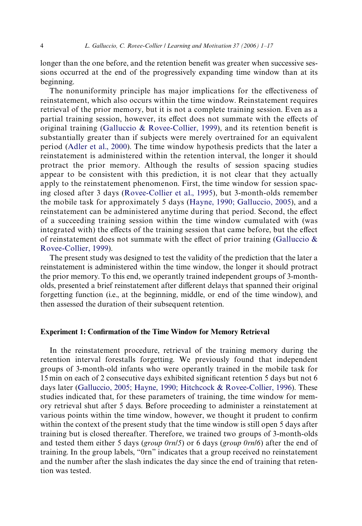longer than the one before, and the retention benefit was greater when successive sessions occurred at the end of the progressively expanding time window than at its beginning.

The nonuniformity principle has major implications for the effectiveness of reinstatement, which also occurs within the time window. Reinstatement requires retrieval of the prior memory, but it is not a complete training session. Even as a partial training session, however, its effect does not summate with the effects of original training [\(Galluccio & Rovee-Collier, 1999](#page-14-5)), and its retention benefit is substantially greater than if subjects were merely overtrained for an equivalent period ([Adler et al., 2000](#page-14-2)). The time window hypothesis predicts that the later a reinstatement is administered within the retention interval, the longer it should protract the prior memory. Although the results of session spacing studies appear to be consistent with this prediction, it is not clear that they actually apply to the reinstatement phenomenon. First, the time window for session spacing closed after 3 days ([Rovee-Collier et al., 1995](#page-15-4)), but 3-month-olds remember the mobile task for approximately 5 days ([Hayne, 1990; Galluccio, 2005\)](#page-14-6), and a reinstatement can be administered anytime during that period. Second, the effect of a succeeding training session within the time window cumulated with (was integrated with) the effects of the training session that came before, but the effect of reinstatement does not summate with the effect of prior training (Galluccio  $\&$ [Rovee-Collier, 1999](#page-14-5)).

The present study was designed to test the validity of the prediction that the later a reinstatement is administered within the time window, the longer it should protract the prior memory. To this end, we operantly trained independent groups of 3-montholds, presented a brief reinstatement after different delays that spanned their original forgetting function (i.e., at the beginning, middle, or end of the time window), and then assessed the duration of their subsequent retention.

## **Experiment 1: Confirmation of the Time Window for Memory Retrieval**

In the reinstatement procedure, retrieval of the training memory during the retention interval forestalls forgetting. We previously found that independent groups of 3-month-old infants who were operantly trained in the mobile task for 15 min on each of 2 consecutive days exhibited significant retention 5 days but not 6 days later ([Galluccio, 2005; Hayne, 1990; Hitchcock & Rovee-Collier, 1996](#page-14-7)). These studies indicated that, for these parameters of training, the time window for memory retrieval shut after 5 days. Before proceeding to administer a reinstatement at various points within the time window, however, we thought it prudent to confirm within the context of the present study that the time window is still open 5 days after training but is closed thereafter. Therefore, we trained two groups of 3-month-olds and tested them either 5 days (*group 0rn*/*5*) or 6 days (*group 0rn*/*6*) after the end of training. In the group labels, "0rn" indicates that a group received no reinstatement and the number after the slash indicates the day since the end of training that retention was tested.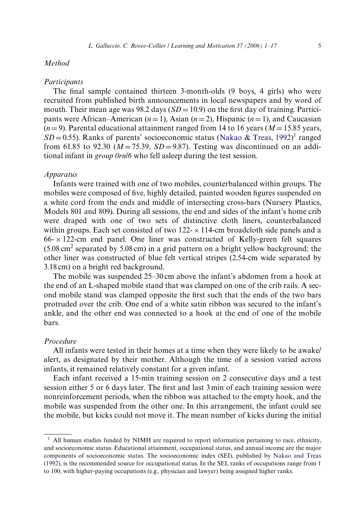# *Method*

#### *Participants*

The final sample contained thirteen 3-month-olds (9 boys, 4 girls) who were recruited from published birth announcements in local newspapers and by word of mouth. Their mean age was 98.2 days  $(SD = 10.9)$  on the first day of training. Participants were African–American  $(n=1)$ , Asian  $(n=2)$ , Hispanic  $(n=1)$ , and Caucasian  $(n=9)$ . Parental educational attainment ranged from 14 to 16 years ( $M=15.85$  years,  $SD = 0.55$ ). Ranks of parents' socioeconomic status ([Nakao & Treas, 1992](#page-15-5))<sup>1</sup> ranged from 61.85 to 92.30  $(M=75.39, SD=9.87)$ . Testing was discontinued on an additional infant in *group 0rn*/*6* who fell asleep during the test session.

# *Apparatus*

Infants were trained with one of two mobiles, counterbalanced within groups. The mobiles were composed of five, highly detailed, painted wooden figures suspended on a white cord from the ends and middle of intersecting cross-bars (Nursery Plastics, Models 801 and 809). During all sessions, the end and sides of the infant's home crib were draped with one of two sets of distinctive cloth liners, counterbalanced within groups. Each set consisted of two  $122 \times 114$ -cm broadcloth side panels and a  $66-x122$ -cm end panel. One liner was constructed of Kelly-green felt squares  $(5.08 \text{ cm}^2 \text{ separated by } 5.08 \text{ cm})$  in a grid pattern on a bright yellow background; the other liner was constructed of blue felt vertical stripes (2.54-cm wide separated by 3.18 cm) on a bright red background.

The mobile was suspended 25–30 cm above the infant's abdomen from a hook at the end of an L-shaped mobile stand that was clamped on one of the crib rails. A second mobile stand was clamped opposite the first such that the ends of the two bars protruded over the crib. One end of a white satin ribbon was secured to the infant's ankle, and the other end was connected to a hook at the end of one of the mobile bars.

# *Procedure*

All infants were tested in their homes at a time when they were likely to be awake/ alert, as designated by their mother. Although the time of a session varied across infants, it remained relatively constant for a given infant.

Each infant received a 15-min training session on 2 consecutive days and a test session either 5 or 6 days later. The first and last 3 min of each training session were nonreinforcement periods, when the ribbon was attached to the empty hook, and the mobile was suspended from the other one. In this arrangement, the infant could see the mobile, but kicks could not move it. The mean number of kicks during the initial

 $<sup>1</sup>$  All human studies funded by NIMH are required to report information pertaining to race, ethnicity,</sup> and socioeconomic status. Educational attainment, occupational status, and annual income are the major components of socioeconomic status. The socioeconomic index (SEI), published by [Nakao and Treas](#page-15-5) [\(1992\),](#page-15-5) is the recommended source for occupational status. In the SEI, ranks of occupations range from 1 to 100, with higher-paying occupations (e.g., physician and lawyer) being assigned higher ranks.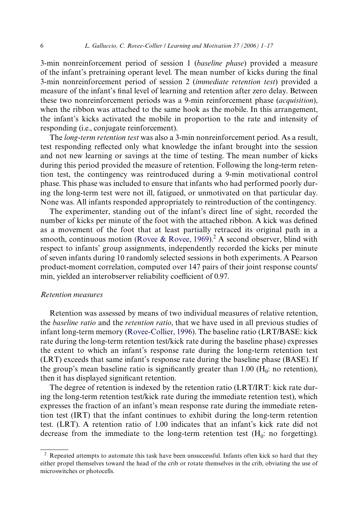3-min nonreinforcement period of session 1 (*baseline phase*) provided a measure of the infant's pretraining operant level. The mean number of kicks during the final 3-min nonreinforcement period of session 2 (*immediate retention test*) provided a measure of the infant's final level of learning and retention after zero delay. Between these two nonreinforcement periods was a 9-min reinforcement phase (*acquisition*), when the ribbon was attached to the same hook as the mobile. In this arrangement, the infant's kicks activated the mobile in proportion to the rate and intensity of responding (i.e., conjugate reinforcement).

The *long-term retention test* was also a 3-min nonreinforcement period. As a result, test responding reflected only what knowledge the infant brought into the session and not new learning or savings at the time of testing. The mean number of kicks during this period provided the measure of retention. Following the long-term retention test, the contingency was reintroduced during a 9-min motivational control phase. This phase was included to ensure that infants who had performed poorly during the long-term test were not ill, fatigued, or unmotivated on that particular day. None was. All infants responded appropriately to reintroduction of the contingency.

The experimenter, standing out of the infant's direct line of sight, recorded the number of kicks per minute of the foot with the attached ribbon. A kick was defined as a movement of the foot that at least partially retraced its original path in a smooth, continuous motion [\(Rovee & Rovee, 1969](#page-15-6)).<sup>2</sup> A second observer, blind with respect to infants' group assignments, independently recorded the kicks per minute of seven infants during 10 randomly selected sessions in both experiments. A Pearson product-moment correlation, computed over 147 pairs of their joint response counts/ min, yielded an interobserver reliability coefficient of 0.97.

#### *Retention measures*

Retention was assessed by means of two individual measures of relative retention, the *baseline ratio* and the *retention ratio*, that we have used in all previous studies of infant long-term memory ([Rovee-Collier, 1996\)](#page-15-7). The baseline ratio (LRT/BASE: kick rate during the long-term retention test/kick rate during the baseline phase) expresses the extent to which an infant's response rate during the long-term retention test (LRT) exceeds that same infant's response rate during the baseline phase (BASE). If the group's mean baseline ratio is significantly greater than 1.00 ( $H_0$ : no retention), then it has displayed significant retention.

The degree of retention is indexed by the retention ratio (LRT/IRT: kick rate during the long-term retention test/kick rate during the immediate retention test), which expresses the fraction of an infant's mean response rate during the immediate retention test (IRT) that the infant continues to exhibit during the long-term retention test. (LRT). A retention ratio of 1.00 indicates that an infant's kick rate did not decrease from the immediate to the long-term retention test  $(H_0:$  no forgetting).

<sup>&</sup>lt;sup>2</sup> Repeated attempts to automate this task have been unsuccessful. Infants often kick so hard that they either propel themselves toward the head of the crib or rotate themselves in the crib, obviating the use of microswitches or photocells.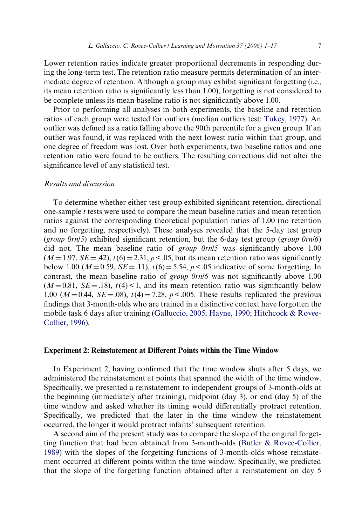Lower retention ratios indicate greater proportional decrements in responding during the long-term test. The retention ratio measure permits determination of an intermediate degree of retention. Although a group may exhibit significant forgetting (i.e., its mean retention ratio is significantly less than  $1.00$ ), forgetting is not considered to be complete unless its mean baseline ratio is not significantly above 1.00.

Prior to performing all analyses in both experiments, the baseline and retention ratios of each group were tested for outliers (median outliers test: [Tukey, 1977\)](#page-15-8). An outlier was defined as a ratio falling above the 90th percentile for a given group. If an outlier was found, it was replaced with the next lowest ratio within that group, and one degree of freedom was lost. Over both experiments, two baseline ratios and one retention ratio were found to be outliers. The resulting corrections did not alter the significance level of any statistical test.

# *Results and discussion*

To determine whether either test group exhibited significant retention, directional one-sample *t* tests were used to compare the mean baseline ratios and mean retention ratios against the corresponding theoretical population ratios of 1.00 (no retention and no forgetting, respectively). These analyses revealed that the 5-day test group (*group 0rn*/ $\delta$ ) exhibited significant retention, but the 6-day test group (*group 0rn*/ $\delta$ ) did not. The mean baseline ratio of *group 0rn/5* was significantly above 1.00  $(M=1.97, SE=.42)$ ,  $t(6) = 2.31$ ,  $p < .05$ , but its mean retention ratio was significantly below 1.00 ( $M = 0.59$ ,  $SE = .11$ ),  $t(6) = 5.54$ ,  $p < .05$  indicative of some forgetting. In contrast, the mean baseline ratio of *group 0rn*/*6* was not significantly above 1.00  $(M=0.81, SE=.18)$ ,  $t(4)$  < 1, and its mean retention ratio was significantly below 1.00 ( $M = 0.44$ ,  $SE = .08$ ),  $t(4) = 7.28$ ,  $p < .005$ . These results replicated the previous findings that 3-month-olds who are trained in a distinctive context have forgotten the mobile task 6 days after training ([Galluccio, 2005; Hayne, 1990; Hitchcock & Rovee-](#page-14-7)[Collier, 1996\)](#page-14-7).

## **Experiment 2: Reinstatement at Different Points within the Time Window**

In Experiment 2, having confirmed that the time window shuts after 5 days, we administered the reinstatement at points that spanned the width of the time window. Specifically, we presented a reinstatement to independent groups of 3-month-olds at the beginning (immediately after training), midpoint (day 3), or end (day 5) of the time window and asked whether its timing would differentially protract retention. Specifically, we predicted that the later in the time window the reinstatement occurred, the longer it would protract infants' subsequent retention.

A second aim of the present study was to compare the slope of the original forgetting function that had been obtained from 3-month-olds [\(Butler & Rovee-Collier,](#page-14-8) [1989\)](#page-14-8) with the slopes of the forgetting functions of 3-month-olds whose reinstatement occurred at different points within the time window. Specifically, we predicted that the slope of the forgetting function obtained after a reinstatement on day 5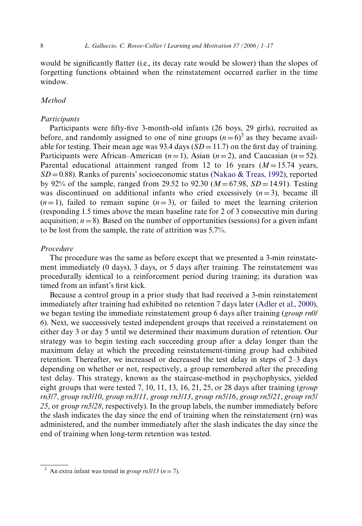would be significantly flatter (i.e., its decay rate would be slower) than the slopes of forgetting functions obtained when the reinstatement occurred earlier in the time window.

# *Method*

#### *Participants*

Participants were fifty-five 3-month-old infants (26 boys, 29 girls), recruited as before, and randomly assigned to one of nine groups  $(n=6)^3$  as they became available for testing. Their mean age was 93.4 days  $(SD = 11.7)$  on the first day of training. Participants were African–American  $(n=1)$ , Asian  $(n=2)$ , and Caucasian  $(n=52)$ . Parental educational attainment ranged from 12 to 16 years  $(M=15.74$  years,  $SD = 0.88$ ). Ranks of parents' socioeconomic status ([Nakao & Treas, 1992](#page-15-5)), reported by 92% of the sample, ranged from 29.52 to 92.30  $(M = 67.98, SD = 14.91)$ . Testing was discontinued on additional infants who cried excessively  $(n=3)$ , became ill  $(n=1)$ , failed to remain supine  $(n=3)$ , or failed to meet the learning criterion (responding 1.5 times above the mean baseline rate for 2 of 3 consecutive min during acquisition;  $n = 8$ ). Based on the number of opportunities (sessions) for a given infant to be lost from the sample, the rate of attrition was 5.7%.

## *Procedure*

The procedure was the same as before except that we presented a 3-min reinstatement immediately (0 days), 3 days, or 5 days after training. The reinstatement was procedurally identical to a reinforcement period during training; its duration was timed from an infant's first kick.

Because a control group in a prior study that had received a 3-min reinstatement immediately after training had exhibited no retention 7 days later [\(Adler et al., 2000](#page-14-2)), we began testing the immediate reinstatement group 6 days after training (*group rn0*/ *6*). Next, we successively tested independent groups that received a reinstatement on either day 3 or day 5 until we determined their maximum duration of retention. Our strategy was to begin testing each succeeding group after a delay longer than the maximum delay at which the preceding reinstatement-timing group had exhibited retention. Thereafter, we increased or decreased the test delay in steps of 2–3 days depending on whether or not, respectively, a group remembered after the preceding test delay. This strategy, known as the staircase-method in psychophysics, yielded eight groups that were tested 7, 10, 11, 13, 16, 21, 25, or 28 days after training (*group rn3*/*7*, *group rn3*/*10*, *group rn3*/*11*, *group rn3*/*13*, *group rn5*/*16*, *group rn5*/*21*, *group rn5*/ *25*, or *group rn5*/*28*, respectively). In the group labels, the number immediately before the slash indicates the day since the end of training when the reinstatement (rn) was administered, and the number immediately after the slash indicates the day since the end of training when long-term retention was tested.

<sup>&</sup>lt;sup>3</sup> An extra infant was tested in *group rn3/13* ( $n = 7$ ).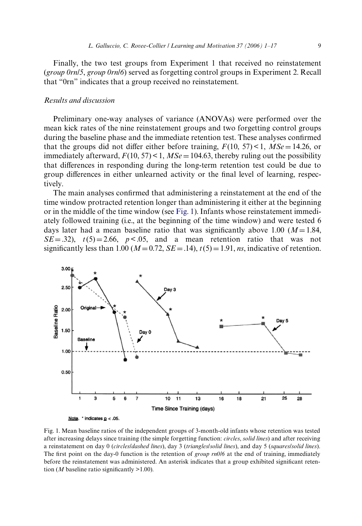Finally, the two test groups from Experiment 1 that received no reinstatement (*group 0rn*/*5*, *group 0rn*/*6*) served as forgetting control groups in Experiment 2. Recall that "0rn" indicates that a group received no reinstatement.

## *Results and discussion*

Preliminary one-way analyses of variance (ANOVAs) were performed over the mean kick rates of the nine reinstatement groups and two forgetting control groups during the baseline phase and the immediate retention test. These analyses confirmed that the groups did not differ either before training,  $F(10, 57) < 1$ ,  $MSe = 14.26$ , or immediately afterward,  $F(10, 57) < 1$ ,  $MSe = 104.63$ , thereby ruling out the possibility that differences in responding during the long-term retention test could be due to group differences in either unlearned activity or the final level of learning, respectively.

The main analyses confirmed that administering a reinstatement at the end of the time window protracted retention longer than administering it either at the beginning or in the middle of the time window (see [Fig. 1](#page-8-0)). Infants whose reinstatement immediately followed training (i.e., at the beginning of the time window) and were tested 6 days later had a mean baseline ratio that was significantly above 1.00 ( $M=1.84$ ,  $SE = .32$ ,  $t(5) = 2.66$ ,  $p < .05$ , and a mean retention ratio that was not significantly less than 1.00 ( $M=0.72$ ,  $SE=.14$ ),  $t(5)=1.91$ , *ns*, indicative of retention.



<span id="page-8-0"></span>Fig. 1. Mean baseline ratios of the independent groups of 3-month-old infants whose retention was tested after increasing delays since training (the simple forgetting function: *circles*, *solid lines*) and after receiving a reinstatement on day 0 (*circles*/*dashed lines*), day 3 (*triangles*/*solid lines*), and day 5 (*squares*/*solid lines*). The first point on the day-0 function is the retention of *group rn0/6* at the end of training, immediately before the reinstatement was administered. An asterisk indicates that a group exhibited significant retention (*M* baseline ratio significantly  $>1.00$ ).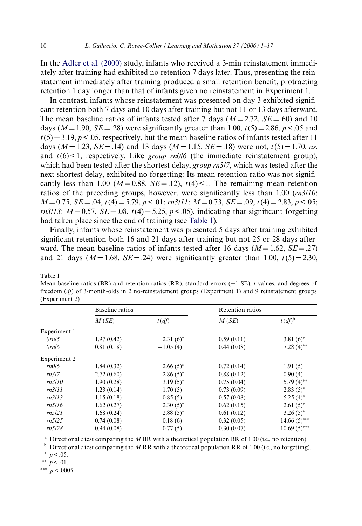In the [Adler et al. \(2000\)](#page-14-2) study, infants who received a 3-min reinstatement immediately after training had exhibited no retention 7 days later. Thus, presenting the reinstatement immediately after training produced a small retention benefit, protracting retention 1 day longer than that of infants given no reinstatement in Experiment 1.

In contrast, infants whose reinstatement was presented on day 3 exhibited significant retention both 7 days and 10 days after training but not 11 or 13 days afterward. The mean baseline ratios of infants tested after 7 days  $(M = 2.72, SE = .60)$  and 10 days ( $M = 1.90$ ,  $SE = .28$ ) were significantly greater than 1.00,  $t(5) = 2.86$ ,  $p < .05$  and  $t(5)=3.19, p<.05$ , respectively, but the mean baseline ratios of infants tested after 11 days ( $M = 1.23$ ,  $SE = .14$ ) and 13 days ( $M = 1.15$ ,  $SE = .18$ ) were not,  $t(5) = 1.70$ , *ns*, and  $t(6)$  < 1, respectively. Like *group*  $rn0/6$  (the immediate reinstatement group), which had been tested after the shortest delay, *group rn3*/*7*, which was tested after the next shortest delay, exhibited no forgetting: Its mean retention ratio was not significantly less than 1.00 ( $M = 0.88$ ,  $SE = .12$ ),  $t(4) < 1$ . The remaining mean retention ratios of the preceding groups, however, were significantly less than  $1.00$  ( $rn3/10$ : *M*=0.75, *SE*=.04, *t*(4) = 5.79, *p* < .01; *rn3*/*11*: *M* = 0.73, *SE* = .09, *t*(4) = 2.83, *p* < .05; *rn3*/*13*:  $M = 0.57$ ,  $SE = .08$ ,  $t(4) = 5.25$ ,  $p < .05$ ), indicating that significant forgetting had taken place since the end of training (see [Table 1](#page-9-0)).

Finally, infants whose reinstatement was presented 5 days after training exhibited significant retention both 16 and 21 days after training but not 25 or 28 days afterward. The mean baseline ratios of infants tested after 16 days  $(M = 1.62, SE = .27)$ and 21 days ( $M = 1.68$ ,  $SE = .24$ ) were significantly greater than 1.00,  $t(5) = 2.30$ ,

<span id="page-9-0"></span>Table 1

Mean baseline ratios (BR) and retention ratios (RR), standard errors  $(\pm 1 \text{ SE})$ , *t* values, and degrees of freedom (*df*) of 3-month-olds in 2 no-reinstatement groups (Experiment 1) and 9 reinstatement groups (Experiment 2)

|              | Baseline ratios |             | Retention ratios |                |
|--------------|-----------------|-------------|------------------|----------------|
|              | M(SE)           | $t (df)^a$  | M(SE)            | $t (df)^b$     |
| Experiment 1 |                 |             |                  |                |
| 0rn/5        | 1.97(0.42)      | $2.31(6)^*$ | 0.59(0.11)       | $3.81(6)^*$    |
| 0rn/6        | 0.81(0.18)      | $-1.05(4)$  | 0.44(0.08)       | $7.28(4)$ **   |
| Experiment 2 |                 |             |                  |                |
| rn0/6        | 1.84(0.32)      | $2.66(5)^*$ | 0.72(0.14)       | 1.91(5)        |
| rn317        | 2.72(0.60)      | $2.86(5)^*$ | 0.88(0.12)       | 0.90(4)        |
| rn3/10       | 1.90(0.28)      | $3.19(5)^*$ | 0.75(0.04)       | 5.79 $(4)$ **  |
| rn3/11       | 1.23(0.14)      | 1.70(5)     | 0.73(0.09)       | $2.83(5)^*$    |
| rn3/13       | 1.15(0.18)      | 0.85(5)     | 0.57(0.08)       | $5.25(4)^*$    |
| rn5/16       | 1.62(0.27)      | $2.30(5)^*$ | 0.62(0.15)       | $2.61(5)^*$    |
| rn5l21       | 1.68(0.24)      | $2.88(5)$ * | 0.61(0.12)       | $3.26(5)^*$    |
| rn5/25       | 0.74(0.08)      | 0.18(6)     | 0.32(0.05)       | $14.66(5)$ *** |
| rn5/28       | 0.94(0.08)      | $-0.77(5)$  | 0.30(0.07)       | $10.69(5)$ *** |

<sup>a</sup> Directional *t* test comparing the *M* BR with a theoretical population BR of 1.00 (i.e., no retention).

<sup>b</sup> Directional *t* test comparing the *M* RR with a theoretical population RR of 1.00 (i.e., no forgetting).  $*$   $p < .05$ .

 $p < .01$ .

\*\*\*  $p < 0.0005$ .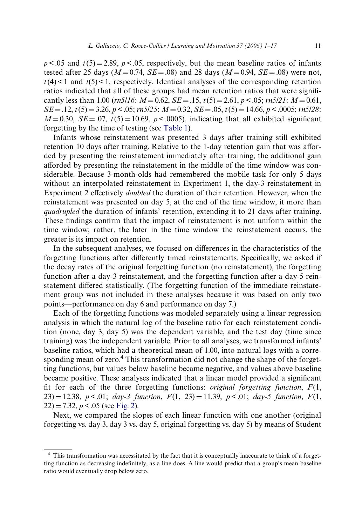$p < .05$  and  $t(5) = 2.89$ ,  $p < .05$ , respectively, but the mean baseline ratios of infants tested after 25 days ( $M = 0.74$ ,  $SE = .08$ ) and 28 days ( $M = 0.94$ ,  $SE = .08$ ) were not,  $t(4)$  < 1 and  $t(5)$  < 1, respectively. Identical analyses of the corresponding retention ratios indicated that all of these groups had mean retention ratios that were significantly less than 1.00 ( $rn5/16$ :  $M = 0.62$ ,  $SE = .15$ ,  $t(5) = 2.61$ ,  $p < .05$ ;  $rn5/21$ :  $M = 0.61$ ,  $SE = .12$ ,  $t(5) = 3.26$ ,  $p < .05$ ;  $rn5/25$ :  $M = 0.32$ ,  $SE = .05$ ,  $t(5) = 14.66$ ,  $p < .0005$ ;  $rn5/28$ :  $M = 0.30$ ,  $SE = .07$ ,  $t(5) = 10.69$ ,  $p < .0005$ ), indicating that all exhibited significant forgetting by the time of testing (see [Table 1](#page-9-0)).

Infants whose reinstatement was presented 3 days after training still exhibited retention 10 days after training. Relative to the 1-day retention gain that was afforded by presenting the reinstatement immediately after training, the additional gain afforded by presenting the reinstatement in the middle of the time window was considerable. Because 3-month-olds had remembered the mobile task for only 5 days without an interpolated reinstatement in Experiment 1, the day-3 reinstatement in Experiment 2 effectively *doubled* the duration of their retention. However, when the reinstatement was presented on day 5, at the end of the time window, it more than *quadrupled* the duration of infants' retention, extending it to 21 days after training. These findings confirm that the impact of reinstatement is not uniform within the time window; rather, the later in the time window the reinstatement occurs, the greater is its impact on retention.

In the subsequent analyses, we focused on differences in the characteristics of the forgetting functions after differently timed reinstatements. Specifically, we asked if the decay rates of the original forgetting function (no reinstatement), the forgetting function after a day-3 reinstatement, and the forgetting function after a day-5 reinstatement differed statistically. (The forgetting function of the immediate reinstatement group was not included in these analyses because it was based on only two points—performance on day 6 and performance on day 7.)

Each of the forgetting functions was modeled separately using a linear regression analysis in which the natural log of the baseline ratio for each reinstatement condition (none, day 3, day 5) was the dependent variable, and the test day (time since training) was the independent variable. Prior to all analyses, we transformed infants' baseline ratios, which had a theoretical mean of 1.00, into natural logs with a corresponding mean of zero.<sup>4</sup> This transformation did not change the shape of the forgetting functions, but values below baseline became negative, and values above baseline became positive. These analyses indicated that a linear model provided a significant fit for each of the three forgetting functions: *original forgetting function*,  $F(1)$ ,  $(23) = 12.38$ ,  $p < 0.01$ ; *day-3 function*,  $F(1, 23) = 11.39$ ,  $p < 0.01$ ; *day-5 function*,  $F(1, 23) = 11.39$  $22$ ) = 7.32, *p* < .05 (see [Fig. 2](#page-11-0)).

Next, we compared the slopes of each linear function with one another (original forgetting vs. day 3, day 3 vs. day 5, original forgetting vs. day 5) by means of Student

<sup>4</sup> This transformation was necessitated by the fact that it is conceptually inaccurate to think of a forgetting function as decreasing indefinitely, as a line does. A line would predict that a group's mean baseline ratio would eventually drop below zero.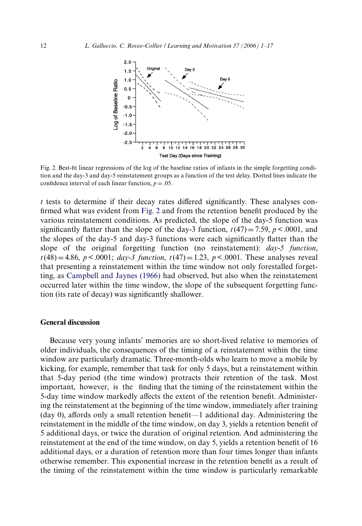

<span id="page-11-0"></span>Fig. 2. Best-fit linear regressions of the log of the baseline ratios of infants in the simple forgetting condition and the day-3 and day-5 reinstatement groups as a function of the test delay. Dotted lines indicate the confidence interval of each linear function,  $p = 0.05$ .

 $t$  tests to determine if their decay rates differed significantly. These analyses con-firmed what was evident from [Fig. 2](#page-11-0) and from the retention benefit produced by the various reinstatement conditions. As predicted, the slope of the day-5 function was significantly flatter than the slope of the day-3 function,  $t(47) = 7.59$ ,  $p < .0001$ , and the slopes of the day-5 and day-3 functions were each significantly flatter than the slope of the original forgetting function (no reinstatement): *day-5 function*,  $t(48) = 4.86$ ,  $p < .0001$ ; *day-3 function*,  $t(47) = 1.23$ ,  $p < .0001$ . These analyses reveal that presenting a reinstatement within the time window not only forestalled forgetting, as [Campbell and Jaynes \(1966\)](#page-14-0) had observed, but also when the reinstatement occurred later within the time window, the slope of the subsequent forgetting function (its rate of decay) was significantly shallower.

# **General discussion**

Because very young infants' memories are so short-lived relative to memories of older individuals, the consequences of the timing of a reinstatement within the time window are particularly dramatic. Three-month-olds who learn to move a mobile by kicking, for example, remember that task for only 5 days, but a reinstatement within that 5-day period (the time window) protracts their retention of the task. Most important, however, is the finding that the timing of the reinstatement within the 5-day time window markedly affects the extent of the retention benefit. Administering the reinstatement at the beginning of the time window, immediately after training (day 0), affords only a small retention benefit—1 additional day. Administering the reinstatement in the middle of the time window, on day 3, yields a retention benefit of 5 additional days, or twice the duration of original retention. And administering the reinstatement at the end of the time window, on day 5, yields a retention benefit of 16 additional days, or a duration of retention more than four times longer than infants otherwise remember. This exponential increase in the retention benefit as a result of the timing of the reinstatement within the time window is particularly remarkable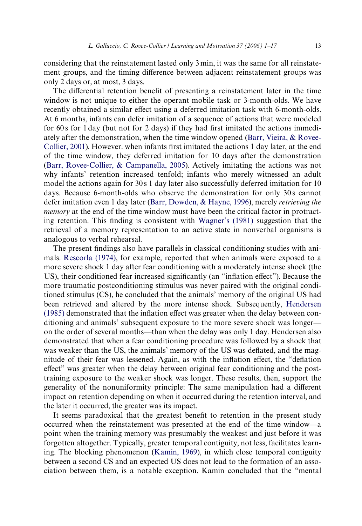considering that the reinstatement lasted only 3 min, it was the same for all reinstatement groups, and the timing difference between adjacent reinstatement groups was only 2 days or, at most, 3 days.

The differential retention benefit of presenting a reinstatement later in the time window is not unique to either the operant mobile task or 3-month-olds. We have recently obtained a similar effect using a deferred imitation task with 6-month-olds. At 6 months, infants can defer imitation of a sequence of actions that were modeled for  $60s$  for 1 day (but not for 2 days) if they had first imitated the actions immediately after the demonstration, when the time window opened [\(Barr, Vieira, & Rovee-](#page-14-9)[Collier, 2001\)](#page-14-9). However. when infants first imitated the actions 1 day later, at the end of the time window, they deferred imitation for 10 days after the demonstration [\(Barr, Rovee-Collier, & Campanella, 2005\)](#page-14-10). Actively imitating the actions was not why infants' retention increased tenfold; infants who merely witnessed an adult model the actions again for 30 s 1 day later also successfully deferred imitation for 10 days. Because 6-month-olds who observe the demonstration for only 30 s cannot defer imitation even 1 day later [\(Barr, Dowden, & Hayne, 1996\)](#page-14-11), merely *retrieving the memory* at the end of the time window must have been the critical factor in protracting retention. This finding is consistent with Wagner's  $(1981)$  suggestion that the retrieval of a memory representation to an active state in nonverbal organisms is analogous to verbal rehearsal.

The present findings also have parallels in classical conditioning studies with animals. [Rescorla \(1974\),](#page-15-9) for example, reported that when animals were exposed to a more severe shock 1 day after fear conditioning with a moderately intense shock (the US), their conditioned fear increased significantly (an "inflation effect"). Because the more traumatic postconditioning stimulus was never paired with the original conditioned stimulus (CS), he concluded that the animals' memory of the original US had been retrieved and altered by the more intense shock. Subsequently, [Hendersen](#page-15-10)  $(1985)$  demonstrated that the inflation effect was greater when the delay between conditioning and animals' subsequent exposure to the more severe shock was longer on the order of several months—than when the delay was only 1 day. Hendersen also demonstrated that when a fear conditioning procedure was followed by a shock that was weaker than the US, the animals' memory of the US was deflated, and the magnitude of their fear was lessened. Again, as with the inflation effect, the "deflation effect" was greater when the delay between original fear conditioning and the posttraining exposure to the weaker shock was longer. These results, then, support the generality of the nonuniformity principle: The same manipulation had a different impact on retention depending on when it occurred during the retention interval, and the later it occurred, the greater was its impact.

It seems paradoxical that the greatest benefit to retention in the present study occurred when the reinstatement was presented at the end of the time window—a point when the training memory was presumably the weakest and just before it was forgotten altogether. Typically, greater temporal contiguity, not less, facilitates learning. The blocking phenomenon [\(Kamin, 1969](#page-15-11)), in which close temporal contiguity between a second CS and an expected US does not lead to the formation of an association between them, is a notable exception. Kamin concluded that the "mental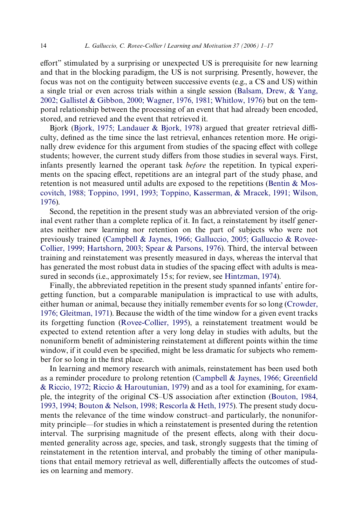effort" stimulated by a surprising or unexpected US is prerequisite for new learning and that in the blocking paradigm, the US is not surprising. Presently, however, the focus was not on the contiguity between successive events (e.g., a CS and US) within a single trial or even across trials within a single session ([Balsam, Drew, & Yang,](#page-14-12) [2002; Gallistel & Gibbon, 2000; Wagner, 1976, 1981; Whitlow, 1976](#page-14-12)) but on the temporal relationship between the processing of an event that had already been encoded, stored, and retrieved and the event that retrieved it.

Bjork [\(Bjork, 1975; Landauer & Bjork, 1978](#page-14-13)) argued that greater retrieval difficulty, defined as the time since the last retrieval, enhances retention more. He originally drew evidence for this argument from studies of the spacing effect with college students; however, the current study differs from those studies in several ways. First, infants presently learned the operant task *before* the repetition. In typical experiments on the spacing effect, repetitions are an integral part of the study phase, and retention is not measured until adults are exposed to the repetitions ([Bentin & Mos](#page-14-14)[covitch, 1988; Toppino, 1991, 1993; Toppino, Kasserman, & Mracek, 1991; Wilson,](#page-14-14) [1976](#page-14-14)).

Second, the repetition in the present study was an abbreviated version of the original event rather than a complete replica of it. In fact, a reinstatement by itself generates neither new learning nor retention on the part of subjects who were not previously trained ([Campbell & Jaynes, 1966; Galluccio, 2005; Galluccio & Rovee-](#page-14-0)[Collier, 1999; Hartshorn, 2003; Spear & Parsons, 1976\)](#page-14-0). Third, the interval between training and reinstatement was presently measured in days, whereas the interval that has generated the most robust data in studies of the spacing effect with adults is mea-sured in seconds (i.e., approximately 15 s; for review, see [Hintzman, 1974](#page-15-12)).

Finally, the abbreviated repetition in the present study spanned infants' entire forgetting function, but a comparable manipulation is impractical to use with adults, either human or animal, because they initially remember events for so long [\(Crowder,](#page-14-15) [1976; Gleitman, 1971\)](#page-14-15). Because the width of the time window for a given event tracks its forgetting function [\(Rovee-Collier, 1995\)](#page-15-0), a reinstatement treatment would be expected to extend retention after a very long delay in studies with adults, but the nonuniform benefit of administering reinstatement at different points within the time window, if it could even be specified, might be less dramatic for subjects who remember for so long in the first place.

In learning and memory research with animals, reinstatement has been used both as a reminder procedure to prolong retention [\(Campbell & Jaynes, 1966; Green](#page-14-0)fi[eld](#page-14-0) [& Riccio, 1972; Riccio & Haroutunian, 1979](#page-14-0)) and as a tool for examining, for example, the integrity of the original CS–US association after extinction ([Bouton, 1984,](#page-14-16) [1993, 1994; Bouton & Nelson, 1998; Rescorla & Heth, 1975](#page-14-16)). The present study documents the relevance of the time window construct–and particularly, the nonuniformity principle—for studies in which a reinstatement is presented during the retention interval. The surprising magnitude of the present effects, along with their documented generality across age, species, and task, strongly suggests that the timing of reinstatement in the retention interval, and probably the timing of other manipulations that entail memory retrieval as well, differentially affects the outcomes of studies on learning and memory.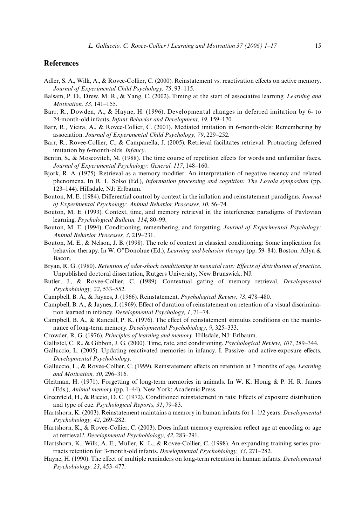# **References**

- <span id="page-14-2"></span>Adler, S. A., Wilk, A., & Rovee-Collier, C. (2000). Reinstatement vs. reactivation effects on active memory. *Journal of Experimental Child Psychology, 75*, 93–115.
- <span id="page-14-12"></span>Balsam, P. D., Drew, M. R., & Yang, C. (2002). Timing at the start of associative learning. *Learning and Motivation, 33*, 141–155.
- <span id="page-14-11"></span>Barr, R., Dowden, A., & Hayne, H. (1996). Developmental changes in deferred imitation by 6- to 24-month-old infants. *Infant Behavior and Development, 19*, 159–170.
- <span id="page-14-9"></span>Barr, R., Vieira, A., & Rovee-Collier, C. (2001). Mediated imitation in 6-month-olds: Remembering by association. *Journal of Experimental Child Psychology, 79*, 229–252.
- <span id="page-14-10"></span>Barr, R., Rovee-Collier, C., & Campanella, J. (2005). Retrieval facilitates retrieval: Protracting deferred imitation by 6-month-olds. *Infancy*.
- <span id="page-14-14"></span>Bentin, S., & Moscovitch, M. (1988). The time course of repetition effects for words and unfamiliar faces. *Journal of Experimental Psychology: General, 117*, 148–160.
- <span id="page-14-13"></span>Bjork, R. A. (1975). Retrieval as a memory modifier: An interpretation of negative recency and related phenomena. In R. L. Solso (Ed.), *Information processing and cognition: The Loyola symposium* (pp. 123–144). Hillsdale, NJ: Erlbaum.
- <span id="page-14-16"></span>Bouton, M. E. (1984). Differential control by context in the inflation and reinstatement paradigms. *Journal of Experimental Psychology: Animal Behavior Processes, 10*, 56–74.
- Bouton, M. E. (1993). Context, time, and memory retrieval in the interference paradigms of Pavlovian learning. *Psychological Bulletin, 114*, 80–99.
- Bouton, M. E. (1994). Conditioning, remembering, and forgetting. *Journal of Experimental Psychology: Animal Behavior Processes, 3*, 219–231.
- Bouton, M. E., & Nelson, J. B. (1998). The role of context in classical conditioning: Some implication for behavior therapy. In W. O"Donohue (Ed.), *Learning and behavior therapy* (pp. 59–84). Boston: Allyn & Bacon.
- <span id="page-14-3"></span>Bryan, R. G. (1980). *Retention of odor-shock conditioning in neonatal rats: Effects of distribution of practice.* Unpublished doctoral dissertation, Rutgers University, New Brunswick, NJ.
- <span id="page-14-8"></span>Butler, J., & Rovee-Collier, C. (1989). Contextual gating of memory retrieval. *Developmental Psychobiology, 22*, 533–552.
- <span id="page-14-0"></span>Campbell, B. A., & Jaynes, J. (1966). Reinstatement. *Psychological Review, 73*, 478–480.
- <span id="page-14-1"></span>Campbell, B. A., & Jaynes, J. (1969). Effect of duration of reinstatement on retention of a visual discrimination learned in infancy. *Developmental Psychology, 1*, 71–74.
- Campbell, B. A.,  $\&$  Randall, P. K. (1976). The effect of reinstatement stimulus conditions on the maintenance of long-term memory. *Developmental Psychobiology, 9*, 325–333.
- <span id="page-14-15"></span>Crowder, R. G. (1976). *Principles of learning and memory*. Hillsdale, NJ: Erlbaum.
- Gallistel, C. R., & Gibbon, J. G. (2000). Time, rate, and conditioning. *Psychological Review, 107*, 289–344.
- <span id="page-14-7"></span>Galluccio, L. (2005). Updating reactivated memories in infancy. I. Passive- and active-exposure effects. *Developmental Psychobiology*.
- <span id="page-14-5"></span>Galluccio, L., & Rovee-Collier, C. (1999). Reinstatement effects on retention at 3 months of age. *Learning and Motivation, 30*, 296–316.
- Gleitman, H. (1971). Forgetting of long-term memories in animals. In W. K. Honig & P. H. R. James (Eds.), *Animal memory* (pp. 1–44). New York: Academic Press.
- Greenfield, H., & Riccio, D. C. (1972). Conditioned reinstatement in rats: Effects of exposure distribution and type of cue. *Psychological Reports, 31*, 79–83.
- Hartshorn, K. (2003). Reinstatement maintains a memory in human infants for 1–1/2 years. *Developmental Psychobiology, 42*, 269–282.
- Hartshorn, K., & Rovee-Collier, C. (2003). Does infant memory expression reflect age at encoding or age at retrieval?. *Developmental Psychobiology, 42*, 283–291.
- <span id="page-14-4"></span>Hartshorn, K., Wilk, A. E., Muller, K. L., & Rovee-Collier, C. (1998). An expanding training series protracts retention for 3-month-old infants. *Developmental Psychobiology, 33*, 271–282.
- <span id="page-14-6"></span>Hayne, H. (1990). The effect of multiple reminders on long-term retention in human infants. *Developmental Psychobiology, 23*, 453–477.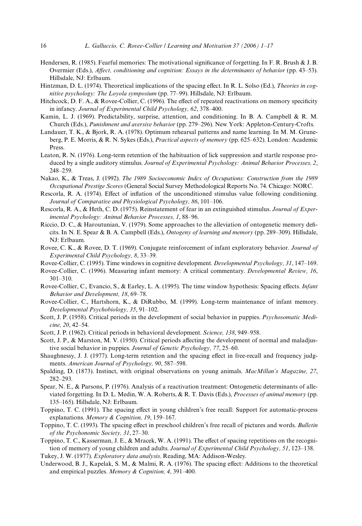- <span id="page-15-10"></span>Hendersen, R. (1985). Fearful memories: The motivational significance of forgetting. In F. R. Brush & J. B. Overmier (Eds.), *Affect, conditioning and cognition: Essays in the determinants of behavior* (pp. 43–53). Hillsdale, NJ: Erlbaum.
- <span id="page-15-12"></span>Hintzman, D. L. (1974). Theoretical implications of the spacing effect. In R. L. Solso (Ed.), *Theories in cognitive psychology: The Loyola symposium* (pp. 77–99). Hillsdale, NJ: Erlbaum.
- Hitchcock, D. F. A.,  $\&$  Rovee-Collier, C. (1996). The effect of repeated reactivations on memory specificity in infancy. *Journal of Experimental Child Psychology, 62*, 378–400.
- <span id="page-15-11"></span>Kamin, L. J. (1969). Predictability, surprise, attention, and conditioning. In B. A. Campbell & R. M. Church (Eds.), *Punishment and aversive behavior* (pp. 279–296). New York: Appleton-Century-Crofts.
- Landauer, T. K., & Bjork, R. A. (1978). Optimum rehearsal patterns and name learning. In M. M. Gruneberg, P. E. Morris, & R. N. Sykes (Eds.), *Practical aspects of memory* (pp. 625–632). London: Academic Press.
- Leaton, R. N. (1976). Long-term retention of the habituation of lick suppression and startle response produced by a single auditory stimulus. *Journal of Experimental Psychology: Animal Behavior Processes, 2*, 248–259.
- <span id="page-15-5"></span>Nakao, K., & Treas, J. (1992). *The 1989 Socioeconomic Index of Occupations: Construction from the 1989 Occupational Prestige Scores* (General Social Survey Methodological Reports No. 74. Chicago: NORC.
- <span id="page-15-9"></span>Rescorla, R. A. (1974). Effect of inflation of the unconditioned stimulus value following conditioning. *Journal of Comparative and Physiological Psychology, 86*, 101–106.
- Rescorla, R. A., & Heth, C. D. (1975). Reinstatement of fear in an extinguished stimulus. *Journal of Experimental Psychology: Animal Behavior Processes, 1*, 88–96.
- Riccio, D. C., & Haroutunian, V. (1979). Some approaches to the alleviation of ontogenetic memory deficits. In N. E. Spear & B. A. Campbell (Eds.), *Ontogeny of learning and memory* (pp. 289–309). Hillsdale, NJ: Erlbaum.
- <span id="page-15-6"></span>Rovee, C. K., & Rovee, D. T. (1969). Conjugate reinforcement of infant exploratory behavior. *Journal of Experimental Child Psychology, 8*, 33–39.
- <span id="page-15-0"></span>Rovee-Collier, C. (1995). Time windows in cognitive development. *Developmental Psychology, 31*, 147–169.
- <span id="page-15-7"></span>Rovee-Collier, C. (1996). Measuring infant memory: A critical commentary. *Developmental Review, 16*, 301–310.
- <span id="page-15-4"></span>Rovee-Collier, C., Evancio, S., & Earley, L. A. (1995). The time window hypothesis: Spacing effects. *Infant Behavior and Development, 18*, 69–78.
- Rovee-Collier, C., Hartshorn, K., & DiRubbo, M. (1999). Long-term maintenance of infant memory. *Developmental Psychobiology, 35*, 91–102.
- <span id="page-15-2"></span>Scott, J. P. (1958). Critical periods in the development of social behavior in puppies. *Psychosomatic Medicine, 20*, 42–54.
- <span id="page-15-3"></span>Scott, J. P. (1962). Critical periods in behavioral development. *Science, 138*, 949–958.
- Scott, J. P., & Marston, M. V. (1950). Critical periods affecting the development of normal and maladjustive social behavior in puppies. *Journal of Genetic Psychology, 77*, 25–60.
- Shaughnessy, J. J. (1977). Long-term retention and the spacing effect in free-recall and frequency judgments. *American Journal of Psychology, 90*, 587–598.
- <span id="page-15-1"></span>Spalding, D. (1873). Instinct, with original observations on young animals. *MacMillan's Magazine, 27*, 282–293.
- Spear, N. E., & Parsons, P. (1976). Analysis of a reactivation treatment: Ontogenetic determinants of alleviated forgetting. In D. L. Medin, W. A. Roberts, & R. T. Davis (Eds.), *Processes of animal memory* (pp. 135–165). Hillsdale, NJ: Erlbaum.
- Toppino, T. C. (1991). The spacing effect in young children's free recall: Support for automatic-process explanations. *Memory & Cognition, 19*, 159–167.
- Toppino, T. C. (1993). The spacing effect in preschool children's free recall of pictures and words. *Bulletin of the Psychonomic Society, 31*, 27–30.
- Toppino, T. C., Kasserman, J. E., & Mracek, W. A. (1991). The effect of spacing repetitions on the recognition of memory of young children and adults. *Journal of Experimental Child Psychology, 51*, 123–138.

<span id="page-15-8"></span>Tukey, J. W. (1977). *Exploratory data analysis*. Reading, MA: Addison-Wesley.

Underwood, B. J., Kapelak, S. M., & Malmi, R. A. (1976). The spacing effect: Additions to the theoretical and empirical puzzles. *Memory & Cognition, 4*, 391–400.